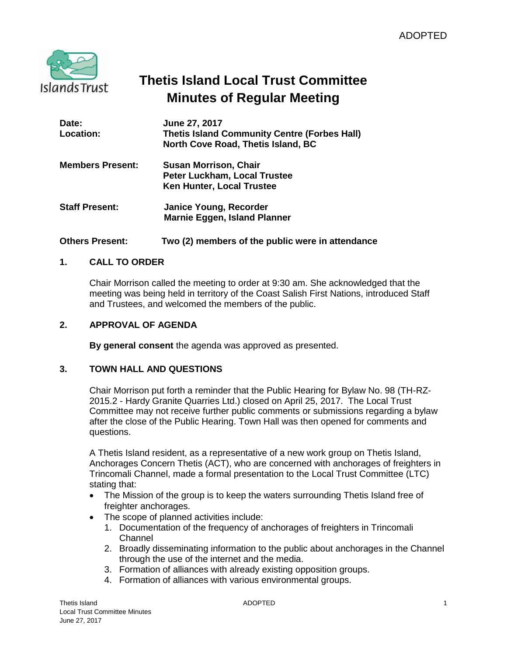

# **Thetis Island Local Trust Committee Minutes of Regular Meeting**

| Date:<br>Location:      | June 27, 2017<br><b>Thetis Island Community Centre (Forbes Hall)</b><br>North Cove Road, Thetis Island, BC |
|-------------------------|------------------------------------------------------------------------------------------------------------|
| <b>Members Present:</b> | <b>Susan Morrison, Chair</b><br><b>Peter Luckham, Local Trustee</b><br><b>Ken Hunter, Local Trustee</b>    |
| <b>Staff Present:</b>   | Janice Young, Recorder<br><b>Marnie Eggen, Island Planner</b>                                              |

# **Others Present: Two (2) members of the public were in attendance**

### **1. CALL TO ORDER**

Chair Morrison called the meeting to order at 9:30 am. She acknowledged that the meeting was being held in territory of the Coast Salish First Nations, introduced Staff and Trustees, and welcomed the members of the public.

### **2. APPROVAL OF AGENDA**

**By general consent** the agenda was approved as presented.

### **3. TOWN HALL AND QUESTIONS**

Chair Morrison put forth a reminder that the Public Hearing for Bylaw No. 98 (TH-RZ-2015.2 - Hardy Granite Quarries Ltd.) closed on April 25, 2017. The Local Trust Committee may not receive further public comments or submissions regarding a bylaw after the close of the Public Hearing. Town Hall was then opened for comments and questions.

A Thetis Island resident, as a representative of a new work group on Thetis Island, Anchorages Concern Thetis (ACT), who are concerned with anchorages of freighters in Trincomali Channel, made a formal presentation to the Local Trust Committee (LTC) stating that:

- The Mission of the group is to keep the waters surrounding Thetis Island free of freighter anchorages.
- The scope of planned activities include:
	- 1. Documentation of the frequency of anchorages of freighters in Trincomali Channel
	- 2. Broadly disseminating information to the public about anchorages in the Channel through the use of the internet and the media.
	- 3. Formation of alliances with already existing opposition groups.
	- 4. Formation of alliances with various environmental groups.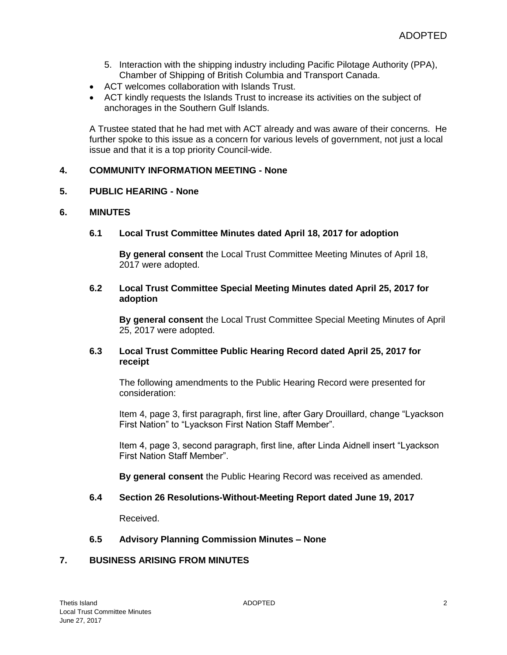- 5. Interaction with the shipping industry including Pacific Pilotage Authority (PPA), Chamber of Shipping of British Columbia and Transport Canada.
- ACT welcomes collaboration with Islands Trust.
- ACT kindly requests the Islands Trust to increase its activities on the subject of anchorages in the Southern Gulf Islands.

A Trustee stated that he had met with ACT already and was aware of their concerns. He further spoke to this issue as a concern for various levels of government, not just a local issue and that it is a top priority Council-wide.

### **4. COMMUNITY INFORMATION MEETING - None**

### **5. PUBLIC HEARING - None**

#### **6. MINUTES**

### **6.1 Local Trust Committee Minutes dated April 18, 2017 for adoption**

**By general consent** the Local Trust Committee Meeting Minutes of April 18, 2017 were adopted.

### **6.2 Local Trust Committee Special Meeting Minutes dated April 25, 2017 for adoption**

**By general consent** the Local Trust Committee Special Meeting Minutes of April 25, 2017 were adopted.

### **6.3 Local Trust Committee Public Hearing Record dated April 25, 2017 for receipt**

The following amendments to the Public Hearing Record were presented for consideration:

Item 4, page 3, first paragraph, first line, after Gary Drouillard, change "Lyackson First Nation" to "Lyackson First Nation Staff Member".

Item 4, page 3, second paragraph, first line, after Linda Aidnell insert "Lyackson First Nation Staff Member".

**By general consent** the Public Hearing Record was received as amended.

### **6.4 Section 26 Resolutions-Without-Meeting Report dated June 19, 2017**

Received.

### **6.5 Advisory Planning Commission Minutes – None**

### **7. BUSINESS ARISING FROM MINUTES**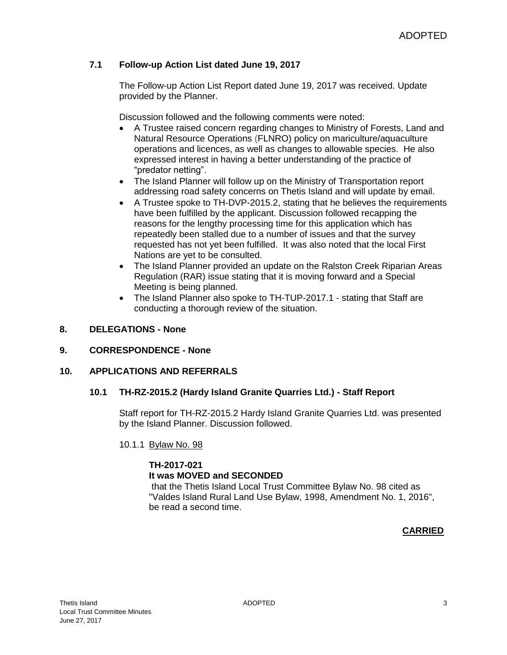# **7.1 Follow-up Action List dated June 19, 2017**

The Follow-up Action List Report dated June 19, 2017 was received. Update provided by the Planner.

Discussion followed and the following comments were noted:

- A Trustee raised concern regarding changes to Ministry of Forests, Land and Natural Resource Operations (FLNRO) policy on mariculture/aquaculture operations and licences, as well as changes to allowable species. He also expressed interest in having a better understanding of the practice of "predator netting".
- The Island Planner will follow up on the Ministry of Transportation report addressing road safety concerns on Thetis Island and will update by email.
- A Trustee spoke to TH-DVP-2015.2, stating that he believes the requirements have been fulfilled by the applicant. Discussion followed recapping the reasons for the lengthy processing time for this application which has repeatedly been stalled due to a number of issues and that the survey requested has not yet been fulfilled. It was also noted that the local First Nations are yet to be consulted.
- The Island Planner provided an update on the Ralston Creek Riparian Areas Regulation (RAR) issue stating that it is moving forward and a Special Meeting is being planned.
- The Island Planner also spoke to TH-TUP-2017.1 stating that Staff are conducting a thorough review of the situation.

### **8. DELEGATIONS - None**

### **9. CORRESPONDENCE - None**

#### **10. APPLICATIONS AND REFERRALS**

#### **10.1 TH-RZ-2015.2 (Hardy Island Granite Quarries Ltd.) - Staff Report**

Staff report for TH-RZ-2015.2 Hardy Island Granite Quarries Ltd. was presented by the Island Planner. Discussion followed.

#### 10.1.1 Bylaw No. 98

# **TH-2017-021**

### **It was MOVED and SECONDED**

that the Thetis Island Local Trust Committee Bylaw No. 98 cited as "Valdes Island Rural Land Use Bylaw, 1998, Amendment No. 1, 2016", be read a second time.

### **CARRIED**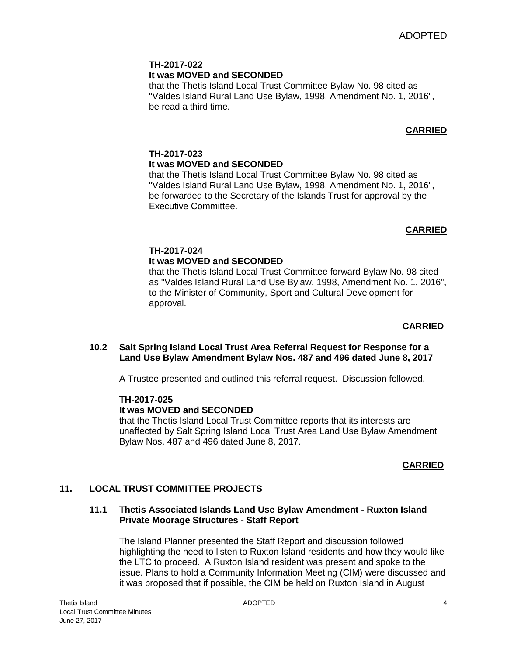#### **TH-2017-022 It was MOVED and SECONDED**

that the Thetis Island Local Trust Committee Bylaw No. 98 cited as "Valdes Island Rural Land Use Bylaw, 1998, Amendment No. 1, 2016", be read a third time.

# **CARRIED**

# **TH-2017-023 It was MOVED and SECONDED**

that the Thetis Island Local Trust Committee Bylaw No. 98 cited as "Valdes Island Rural Land Use Bylaw, 1998, Amendment No. 1, 2016", be forwarded to the Secretary of the Islands Trust for approval by the Executive Committee.

### **CARRIED**

# **TH-2017-024 It was MOVED and SECONDED**

that the Thetis Island Local Trust Committee forward Bylaw No. 98 cited as "Valdes Island Rural Land Use Bylaw, 1998, Amendment No. 1, 2016", to the Minister of Community, Sport and Cultural Development for approval.

### **CARRIED**

### **10.2 Salt Spring Island Local Trust Area Referral Request for Response for a Land Use Bylaw Amendment Bylaw Nos. 487 and 496 dated June 8, 2017**

A Trustee presented and outlined this referral request. Discussion followed.

### **TH-2017-025**

# **It was MOVED and SECONDED**

that the Thetis Island Local Trust Committee reports that its interests are unaffected by Salt Spring Island Local Trust Area Land Use Bylaw Amendment Bylaw Nos. 487 and 496 dated June 8, 2017.

### **CARRIED**

# **11. LOCAL TRUST COMMITTEE PROJECTS**

### **11.1 Thetis Associated Islands Land Use Bylaw Amendment - Ruxton Island Private Moorage Structures - Staff Report**

The Island Planner presented the Staff Report and discussion followed highlighting the need to listen to Ruxton Island residents and how they would like the LTC to proceed. A Ruxton Island resident was present and spoke to the issue. Plans to hold a Community Information Meeting (CIM) were discussed and it was proposed that if possible, the CIM be held on Ruxton Island in August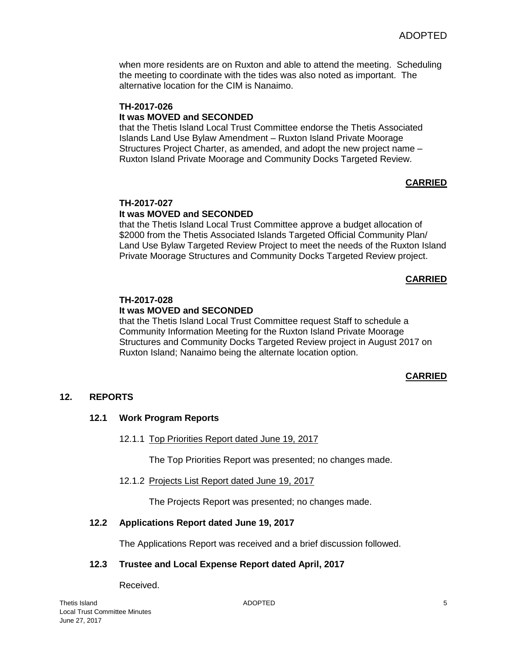when more residents are on Ruxton and able to attend the meeting. Scheduling the meeting to coordinate with the tides was also noted as important. The alternative location for the CIM is Nanaimo.

# **TH-2017-026 It was MOVED and SECONDED**

that the Thetis Island Local Trust Committee endorse the Thetis Associated Islands Land Use Bylaw Amendment – Ruxton Island Private Moorage Structures Project Charter, as amended, and adopt the new project name – Ruxton Island Private Moorage and Community Docks Targeted Review.

# **CARRIED**

#### **TH-2017-027 It was MOVED and SECONDED**

that the Thetis Island Local Trust Committee approve a budget allocation of \$2000 from the Thetis Associated Islands Targeted Official Community Plan/ Land Use Bylaw Targeted Review Project to meet the needs of the Ruxton Island Private Moorage Structures and Community Docks Targeted Review project.

### **CARRIED**

# **TH-2017-028**

### **It was MOVED and SECONDED**

that the Thetis Island Local Trust Committee request Staff to schedule a Community Information Meeting for the Ruxton Island Private Moorage Structures and Community Docks Targeted Review project in August 2017 on Ruxton Island; Nanaimo being the alternate location option.

### **CARRIED**

### **12. REPORTS**

### **12.1 Work Program Reports**

### 12.1.1 Top Priorities Report dated June 19, 2017

The Top Priorities Report was presented; no changes made.

### 12.1.2 Projects List Report dated June 19, 2017

The Projects Report was presented; no changes made.

### **12.2 Applications Report dated June 19, 2017**

The Applications Report was received and a brief discussion followed.

### **12.3 Trustee and Local Expense Report dated April, 2017**

Received.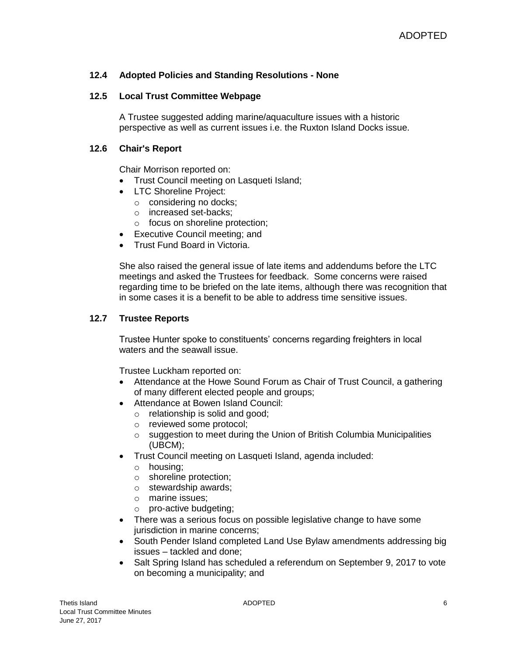### **12.4 Adopted Policies and Standing Resolutions - None**

### **12.5 Local Trust Committee Webpage**

A Trustee suggested adding marine/aquaculture issues with a historic perspective as well as current issues i.e. the Ruxton Island Docks issue.

### **12.6 Chair's Report**

Chair Morrison reported on:

- Trust Council meeting on Lasqueti Island;
- LTC Shoreline Project:
	- o considering no docks;
	- o increased set-backs;
	- o focus on shoreline protection;
- Executive Council meeting; and
- Trust Fund Board in Victoria.

She also raised the general issue of late items and addendums before the LTC meetings and asked the Trustees for feedback. Some concerns were raised regarding time to be briefed on the late items, although there was recognition that in some cases it is a benefit to be able to address time sensitive issues.

### **12.7 Trustee Reports**

Trustee Hunter spoke to constituents' concerns regarding freighters in local waters and the seawall issue.

Trustee Luckham reported on:

- Attendance at the Howe Sound Forum as Chair of Trust Council, a gathering of many different elected people and groups;
- Attendance at Bowen Island Council:
	- o relationship is solid and good;
	- o reviewed some protocol;
	- o suggestion to meet during the Union of British Columbia Municipalities (UBCM);
- Trust Council meeting on Lasqueti Island, agenda included:
	- o housing;
	- o shoreline protection;
	- o stewardship awards;
	- o marine issues;
	- o pro-active budgeting;
- There was a serious focus on possible legislative change to have some jurisdiction in marine concerns;
- South Pender Island completed Land Use Bylaw amendments addressing big issues – tackled and done;
- Salt Spring Island has scheduled a referendum on September 9, 2017 to vote on becoming a municipality; and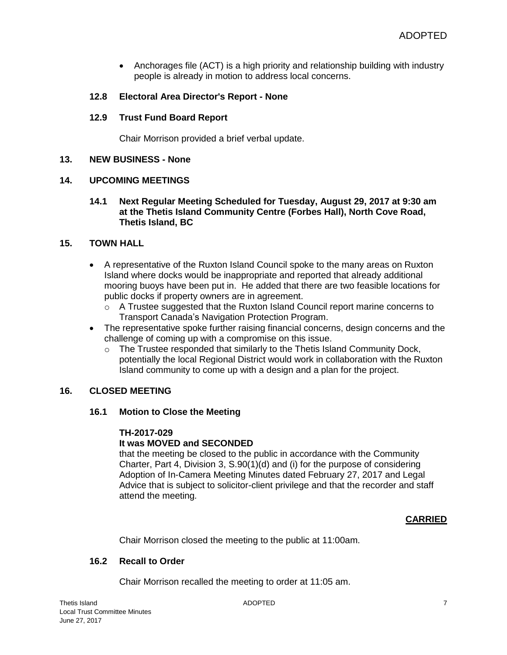Anchorages file (ACT) is a high priority and relationship building with industry people is already in motion to address local concerns.

### **12.8 Electoral Area Director's Report - None**

### **12.9 Trust Fund Board Report**

Chair Morrison provided a brief verbal update.

#### **13. NEW BUSINESS - None**

#### **14. UPCOMING MEETINGS**

**14.1 Next Regular Meeting Scheduled for Tuesday, August 29, 2017 at 9:30 am at the Thetis Island Community Centre (Forbes Hall), North Cove Road, Thetis Island, BC**

### **15. TOWN HALL**

- A representative of the Ruxton Island Council spoke to the many areas on Ruxton Island where docks would be inappropriate and reported that already additional mooring buoys have been put in. He added that there are two feasible locations for public docks if property owners are in agreement.
	- $\circ$  A Trustee suggested that the Ruxton Island Council report marine concerns to Transport Canada's Navigation Protection Program.
- The representative spoke further raising financial concerns, design concerns and the challenge of coming up with a compromise on this issue.
	- $\circ$  The Trustee responded that similarly to the Thetis Island Community Dock, potentially the local Regional District would work in collaboration with the Ruxton Island community to come up with a design and a plan for the project.

### **16. CLOSED MEETING**

### **16.1 Motion to Close the Meeting**

#### **TH-2017-029**

### **It was MOVED and SECONDED**

that the meeting be closed to the public in accordance with the Community Charter, Part 4, Division 3, S.90(1)(d) and (i) for the purpose of considering Adoption of In-Camera Meeting Minutes dated February 27, 2017 and Legal Advice that is subject to solicitor-client privilege and that the recorder and staff attend the meeting*.*

### **CARRIED**

Chair Morrison closed the meeting to the public at 11:00am.

### **16.2 Recall to Order**

Chair Morrison recalled the meeting to order at 11:05 am.